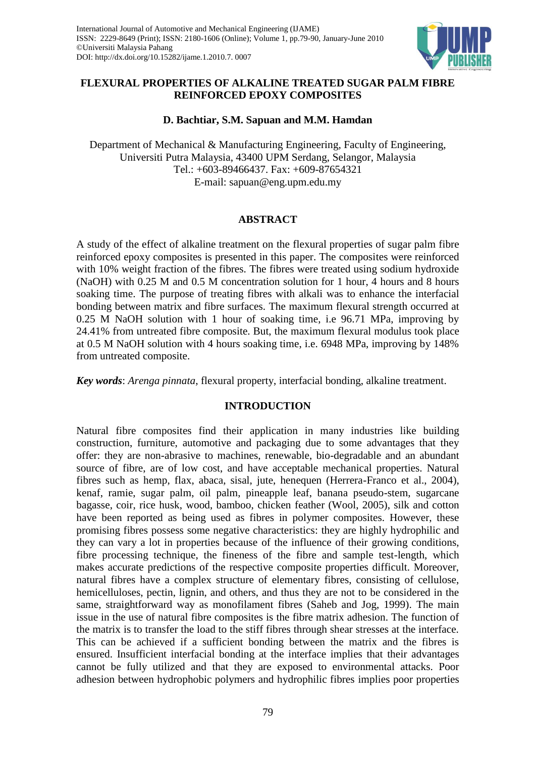

# **FLEXURAL PROPERTIES OF ALKALINE TREATED SUGAR PALM FIBRE REINFORCED EPOXY COMPOSITES**

# **D. Bachtiar, S.M. Sapuan and M.M. Hamdan**

Department of Mechanical & Manufacturing Engineering, Faculty of Engineering, Universiti Putra Malaysia, 43400 UPM Serdang, Selangor, Malaysia Tel.: +603-89466437. Fax: +609-87654321 E-mail: sapuan@eng.upm.edu.my

## **ABSTRACT**

A study of the effect of alkaline treatment on the flexural properties of sugar palm fibre reinforced epoxy composites is presented in this paper. The composites were reinforced with 10% weight fraction of the fibres. The fibres were treated using sodium hydroxide (NaOH) with 0.25 M and 0.5 M concentration solution for 1 hour, 4 hours and 8 hours soaking time. The purpose of treating fibres with alkali was to enhance the interfacial bonding between matrix and fibre surfaces. The maximum flexural strength occurred at 0.25 M NaOH solution with 1 hour of soaking time, i.e 96.71 MPa, improving by 24.41% from untreated fibre composite. But, the maximum flexural modulus took place at 0.5 M NaOH solution with 4 hours soaking time, i.e. 6948 MPa, improving by 148% from untreated composite.

*Key words*: *Arenga pinnata*, flexural property, interfacial bonding, alkaline treatment.

## **INTRODUCTION**

Natural fibre composites find their application in many industries like building construction, furniture, automotive and packaging due to some advantages that they offer: they are non-abrasive to machines, renewable, bio-degradable and an abundant source of fibre, are of low cost, and have acceptable mechanical properties. Natural fibres such as hemp, flax, abaca, sisal, jute, henequen (Herrera-Franco et al., 2004), kenaf, ramie, sugar palm, oil palm, pineapple leaf, banana pseudo-stem, sugarcane bagasse, coir, rice husk, wood, bamboo, chicken feather (Wool, 2005), silk and cotton have been reported as being used as fibres in polymer composites. However, these promising fibres possess some negative characteristics: they are highly hydrophilic and they can vary a lot in properties because of the influence of their growing conditions, fibre processing technique, the fineness of the fibre and sample test-length, which makes accurate predictions of the respective composite properties difficult. Moreover, natural fibres have a complex structure of elementary fibres, consisting of cellulose, hemicelluloses, pectin, lignin, and others, and thus they are not to be considered in the same, straightforward way as monofilament fibres (Saheb and Jog, 1999). The main issue in the use of natural fibre composites is the fibre matrix adhesion. The function of the matrix is to transfer the load to the stiff fibres through shear stresses at the interface. This can be achieved if a sufficient bonding between the matrix and the fibres is ensured. Insufficient interfacial bonding at the interface implies that their advantages cannot be fully utilized and that they are exposed to environmental attacks. Poor adhesion between hydrophobic polymers and hydrophilic fibres implies poor properties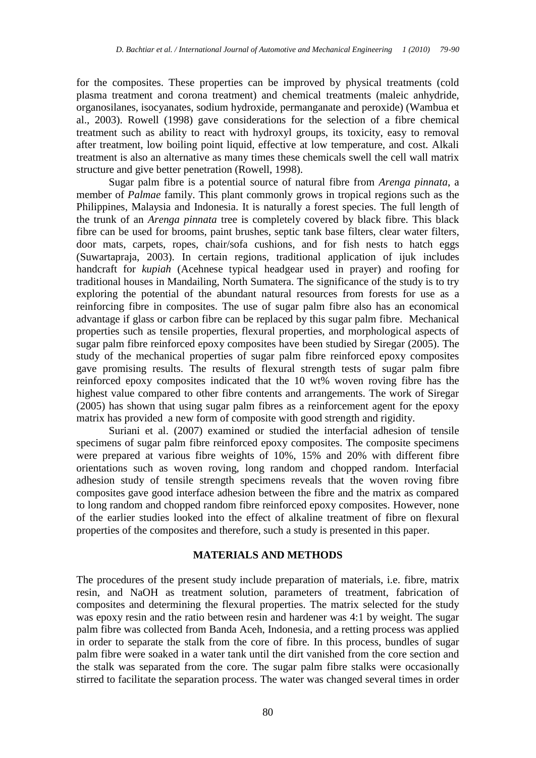for the composites. These properties can be improved by physical treatments (cold plasma treatment and corona treatment) and chemical treatments (maleic anhydride, organosilanes, isocyanates, sodium hydroxide, permanganate and peroxide) (Wambua et al., 2003). Rowell (1998) gave considerations for the selection of a fibre chemical treatment such as ability to react with hydroxyl groups, its toxicity, easy to removal after treatment, low boiling point liquid, effective at low temperature, and cost. Alkali treatment is also an alternative as many times these chemicals swell the cell wall matrix structure and give better penetration (Rowell, 1998).

Sugar palm fibre is a potential source of natural fibre from *Arenga pinnata*, a member of *Palmae* family. This plant commonly grows in tropical regions such as the Philippines, Malaysia and Indonesia. It is naturally a forest species. The full length of the trunk of an *Arenga pinnata* tree is completely covered by black fibre. This black fibre can be used for brooms, paint brushes, septic tank base filters, clear water filters, door mats, carpets, ropes, chair/sofa cushions, and for fish nests to hatch eggs (Suwartapraja, 2003). In certain regions, traditional application of ijuk includes handcraft for *kupiah* (Acehnese typical headgear used in prayer) and roofing for traditional houses in Mandailing, North Sumatera. The significance of the study is to try exploring the potential of the abundant natural resources from forests for use as a reinforcing fibre in composites. The use of sugar palm fibre also has an economical advantage if glass or carbon fibre can be replaced by this sugar palm fibre. Mechanical properties such as tensile properties, flexural properties, and morphological aspects of sugar palm fibre reinforced epoxy composites have been studied by Siregar (2005). The study of the mechanical properties of sugar palm fibre reinforced epoxy composites gave promising results. The results of flexural strength tests of sugar palm fibre reinforced epoxy composites indicated that the 10 wt% woven roving fibre has the highest value compared to other fibre contents and arrangements. The work of Siregar (2005) has shown that using sugar palm fibres as a reinforcement agent for the epoxy matrix has provided a new form of composite with good strength and rigidity.

Suriani et al. (2007) examined or studied the interfacial adhesion of tensile specimens of sugar palm fibre reinforced epoxy composites. The composite specimens were prepared at various fibre weights of 10%, 15% and 20% with different fibre orientations such as woven roving, long random and chopped random. Interfacial adhesion study of tensile strength specimens reveals that the woven roving fibre composites gave good interface adhesion between the fibre and the matrix as compared to long random and chopped random fibre reinforced epoxy composites. However, none of the earlier studies looked into the effect of alkaline treatment of fibre on flexural properties of the composites and therefore, such a study is presented in this paper.

#### **MATERIALS AND METHODS**

The procedures of the present study include preparation of materials, i.e. fibre, matrix resin, and NaOH as treatment solution, parameters of treatment, fabrication of composites and determining the flexural properties. The matrix selected for the study was epoxy resin and the ratio between resin and hardener was 4:1 by weight. The sugar palm fibre was collected from Banda Aceh, Indonesia, and a retting process was applied in order to separate the stalk from the core of fibre. In this process, bundles of sugar palm fibre were soaked in a water tank until the dirt vanished from the core section and the stalk was separated from the core. The sugar palm fibre stalks were occasionally stirred to facilitate the separation process. The water was changed several times in order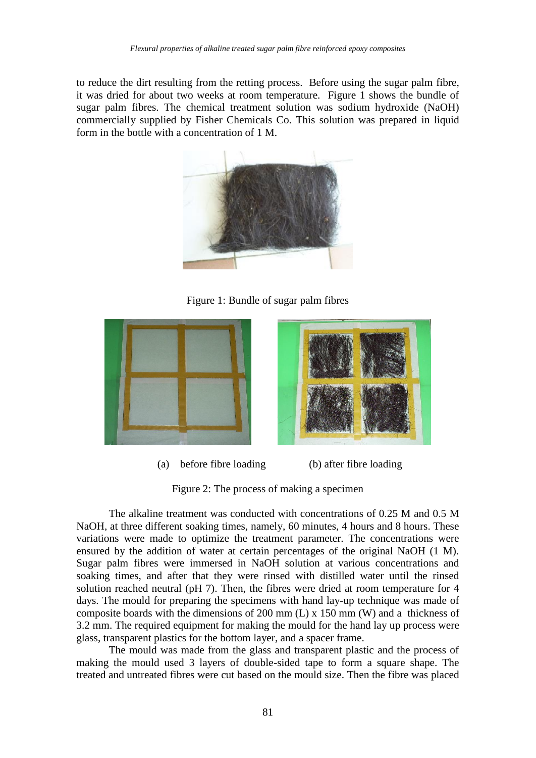to reduce the dirt resulting from the retting process. Before using the sugar palm fibre, it was dried for about two weeks at room temperature. Figure 1 shows the bundle of sugar palm fibres. The chemical treatment solution was sodium hydroxide (NaOH) commercially supplied by Fisher Chemicals Co. This solution was prepared in liquid form in the bottle with a concentration of 1 M.



Figure 1: Bundle of sugar palm fibres



(a) before fibre loading (b) after fibre loading

Figure 2: The process of making a specimen

The alkaline treatment was conducted with concentrations of 0.25 M and 0.5 M NaOH, at three different soaking times, namely, 60 minutes, 4 hours and 8 hours. These variations were made to optimize the treatment parameter. The concentrations were ensured by the addition of water at certain percentages of the original NaOH (1 M). Sugar palm fibres were immersed in NaOH solution at various concentrations and soaking times, and after that they were rinsed with distilled water until the rinsed solution reached neutral (pH 7). Then, the fibres were dried at room temperature for 4 days. The mould for preparing the specimens with hand lay-up technique was made of composite boards with the dimensions of 200 mm (L) x 150 mm (W) and a thickness of 3.2 mm. The required equipment for making the mould for the hand lay up process were glass, transparent plastics for the bottom layer, and a spacer frame.

The mould was made from the glass and transparent plastic and the process of making the mould used 3 layers of double-sided tape to form a square shape. The treated and untreated fibres were cut based on the mould size. Then the fibre was placed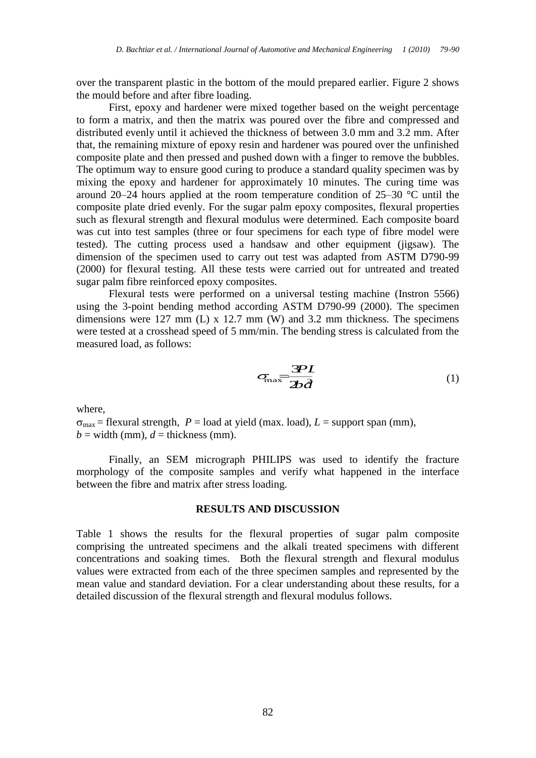over the transparent plastic in the bottom of the mould prepared earlier. Figure 2 shows the mould before and after fibre loading.

First, epoxy and hardener were mixed together based on the weight percentage to form a matrix, and then the matrix was poured over the fibre and compressed and distributed evenly until it achieved the thickness of between 3.0 mm and 3.2 mm. After that, the remaining mixture of epoxy resin and hardener was poured over the unfinished composite plate and then pressed and pushed down with a finger to remove the bubbles. The optimum way to ensure good curing to produce a standard quality specimen was by mixing the epoxy and hardener for approximately 10 minutes. The curing time was around 20–24 hours applied at the room temperature condition of 25–30 °C until the composite plate dried evenly. For the sugar palm epoxy composites, flexural properties such as flexural strength and flexural modulus were determined. Each composite board was cut into test samples (three or four specimens for each type of fibre model were tested). The cutting process used a handsaw and other equipment (jigsaw). The dimension of the specimen used to carry out test was adapted from ASTM D790-99 (2000) for flexural testing. All these tests were carried out for untreated and treated sugar palm fibre reinforced epoxy composites.

Flexural tests were performed on a universal testing machine (Instron 5566) using the 3-point bending method according ASTM D790-99 (2000). The specimen dimensions were 127 mm (L) x 12.7 mm (W) and 3.2 mm thickness. The specimens were tested at a crosshead speed of 5 mm/min. The bending stress is calculated from the measured load, as follows:

$$
\sigma_{\text{max}} = \frac{3PL}{2b\hat{d}} \tag{1}
$$

where,

 $\sigma_{\text{max}}$  = flexural strength,  $P =$  load at yield (max. load),  $L =$  support span (mm),  $b =$  width (mm),  $d =$  thickness (mm).

Finally, an SEM micrograph PHILIPS was used to identify the fracture morphology of the composite samples and verify what happened in the interface between the fibre and matrix after stress loading.

### **RESULTS AND DISCUSSION**

Table 1 shows the results for the flexural properties of sugar palm composite comprising the untreated specimens and the alkali treated specimens with different concentrations and soaking times. Both the flexural strength and flexural modulus values were extracted from each of the three specimen samples and represented by the mean value and standard deviation. For a clear understanding about these results, for a detailed discussion of the flexural strength and flexural modulus follows.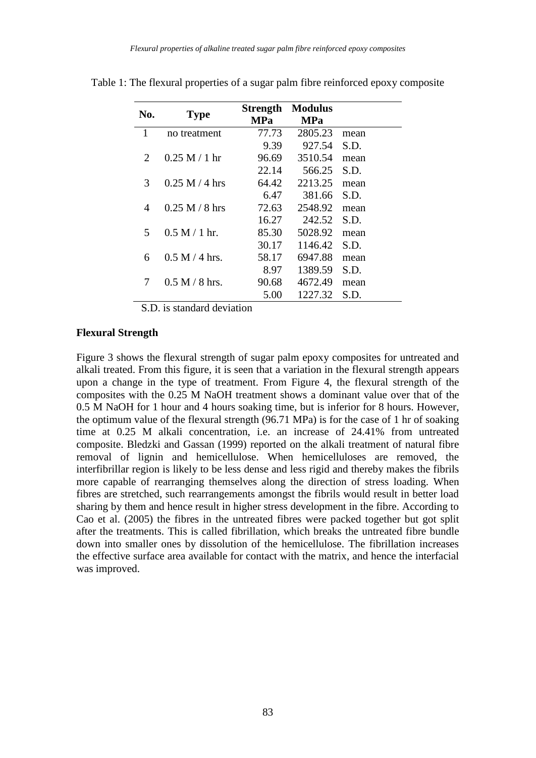| No.            | <b>Type</b>      | <b>Strength</b><br><b>MPa</b> | <b>Modulus</b><br><b>MPa</b> |      |
|----------------|------------------|-------------------------------|------------------------------|------|
| 1              | no treatment     | 77.73                         | 2805.23                      | mean |
|                |                  | 9.39                          | 927.54                       | S.D. |
| 2              | 0.25 M / 1 hr    | 96.69                         | 3510.54                      | mean |
|                |                  | 22.14                         | 566.25                       | S.D. |
| 3              | $0.25 M / 4$ hrs | 64.42                         | 2213.25                      | mean |
|                |                  | 6.47                          | 381.66                       | S.D. |
| $\overline{4}$ | $0.25 M / 8$ hrs | 72.63                         | 2548.92                      | mean |
|                |                  | 16.27                         | 242.52                       | S.D. |
| 5.             | $0.5 M / 1 hr$ . | 85.30                         | 5028.92                      | mean |
|                |                  | 30.17                         | 1146.42                      | S.D. |
| 6              | $0.5 M / 4$ hrs. | 58.17                         | 6947.88                      | mean |
|                |                  | 8.97                          | 1389.59                      | S.D. |
| 7              | $0.5 M / 8$ hrs. | 90.68                         | 4672.49                      | mean |
|                |                  | 5.00                          | 1227.32                      | S.D. |

Table 1: The flexural properties of a sugar palm fibre reinforced epoxy composite

S.D. is standard deviation

### **Flexural Strength**

Figure 3 shows the flexural strength of sugar palm epoxy composites for untreated and alkali treated. From this figure, it is seen that a variation in the flexural strength appears upon a change in the type of treatment. From Figure 4, the flexural strength of the composites with the 0.25 M NaOH treatment shows a dominant value over that of the 0.5 M NaOH for 1 hour and 4 hours soaking time, but is inferior for 8 hours. However, the optimum value of the flexural strength (96.71 MPa) is for the case of 1 hr of soaking time at 0.25 M alkali concentration, i.e. an increase of 24.41% from untreated composite. Bledzki and Gassan (1999) reported on the alkali treatment of natural fibre removal of lignin and hemicellulose. When hemicelluloses are removed, the interfibrillar region is likely to be less dense and less rigid and thereby makes the fibrils more capable of rearranging themselves along the direction of stress loading. When fibres are stretched, such rearrangements amongst the fibrils would result in better load sharing by them and hence result in higher stress development in the fibre. According to Cao et al. (2005) the fibres in the untreated fibres were packed together but got split after the treatments. This is called fibrillation, which breaks the untreated fibre bundle down into smaller ones by dissolution of the hemicellulose. The fibrillation increases the effective surface area available for contact with the matrix, and hence the interfacial was improved.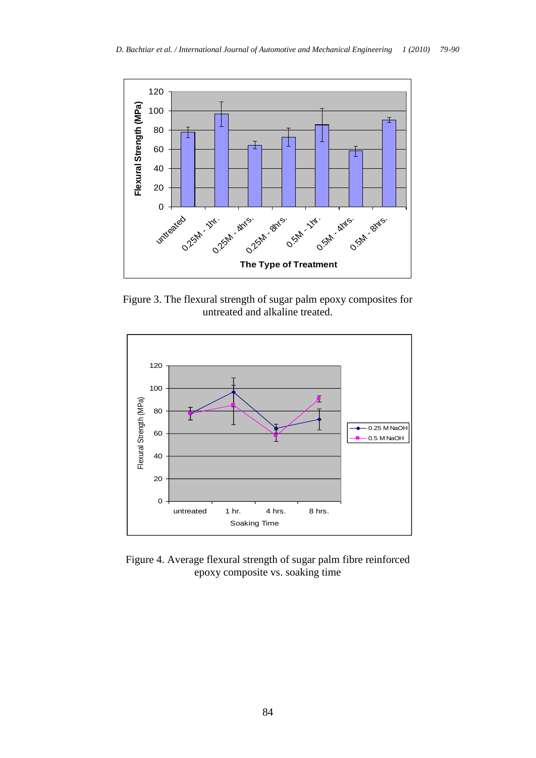

Figure 3. The flexural strength of sugar palm epoxy composites for untreated and alkaline treated.



Figure 4. Average flexural strength of sugar palm fibre reinforced epoxy composite vs. soaking time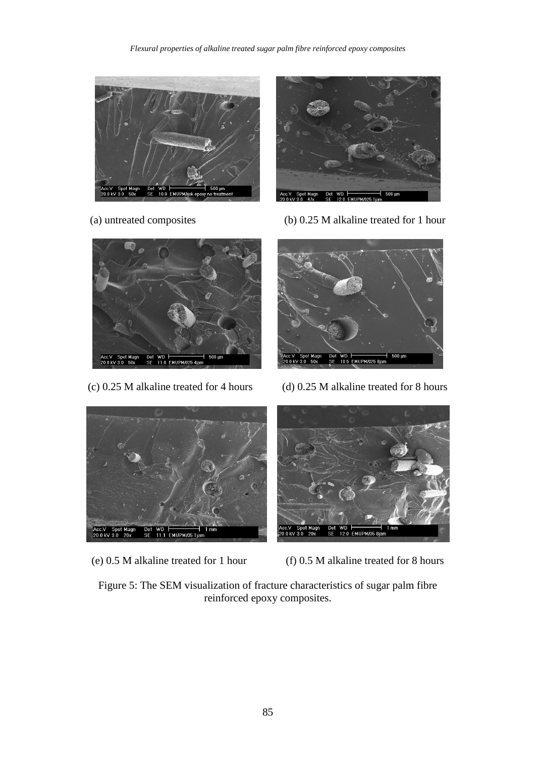#### *Flexural properties of alkaline treated sugar palm fibre reinforced epoxy composites*





(a) untreated composites (b) 0.25 M alkaline treated for 1 hour





(c) 0.25 M alkaline treated for 4 hours (d) 0.25 M alkaline treated for 8 hours





(e) 0.5 M alkaline treated for 1 hour (f) 0.5 M alkaline treated for 8 hours

Figure 5: The SEM visualization of fracture characteristics of sugar palm fibre reinforced epoxy composites.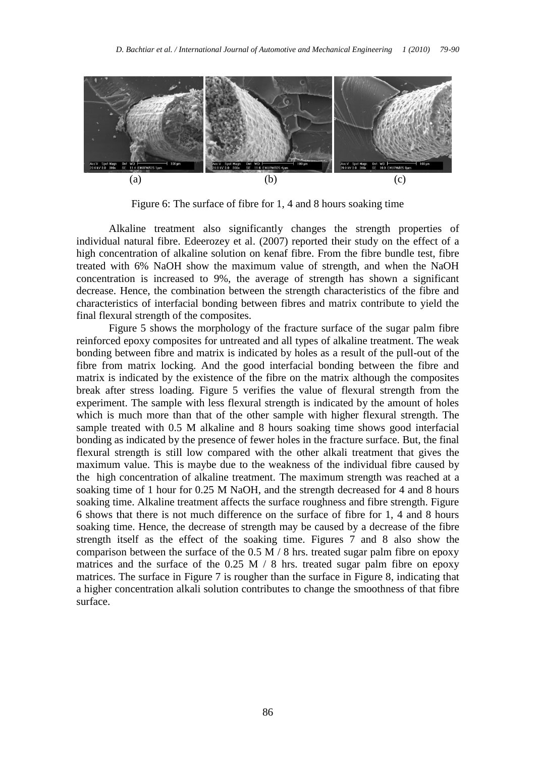

Figure 6: The surface of fibre for 1, 4 and 8 hours soaking time

Alkaline treatment also significantly changes the strength properties of individual natural fibre. Edeerozey et al. (2007) reported their study on the effect of a high concentration of alkaline solution on kenaf fibre. From the fibre bundle test, fibre treated with 6% NaOH show the maximum value of strength, and when the NaOH concentration is increased to 9%, the average of strength has shown a significant decrease. Hence, the combination between the strength characteristics of the fibre and characteristics of interfacial bonding between fibres and matrix contribute to yield the final flexural strength of the composites.

Figure 5 shows the morphology of the fracture surface of the sugar palm fibre reinforced epoxy composites for untreated and all types of alkaline treatment. The weak bonding between fibre and matrix is indicated by holes as a result of the pull-out of the fibre from matrix locking. And the good interfacial bonding between the fibre and matrix is indicated by the existence of the fibre on the matrix although the composites break after stress loading. Figure 5 verifies the value of flexural strength from the experiment. The sample with less flexural strength is indicated by the amount of holes which is much more than that of the other sample with higher flexural strength. The sample treated with 0.5 M alkaline and 8 hours soaking time shows good interfacial bonding as indicated by the presence of fewer holes in the fracture surface. But, the final flexural strength is still low compared with the other alkali treatment that gives the maximum value. This is maybe due to the weakness of the individual fibre caused by the high concentration of alkaline treatment. The maximum strength was reached at a soaking time of 1 hour for 0.25 M NaOH, and the strength decreased for 4 and 8 hours soaking time. Alkaline treatment affects the surface roughness and fibre strength. Figure 6 shows that there is not much difference on the surface of fibre for 1, 4 and 8 hours soaking time. Hence, the decrease of strength may be caused by a decrease of the fibre strength itself as the effect of the soaking time. Figures 7 and 8 also show the comparison between the surface of the 0.5 M / 8 hrs. treated sugar palm fibre on epoxy matrices and the surface of the  $0.25 \text{ M}$  / 8 hrs. treated sugar palm fibre on epoxy matrices. The surface in Figure 7 is rougher than the surface in Figure 8, indicating that a higher concentration alkali solution contributes to change the smoothness of that fibre surface.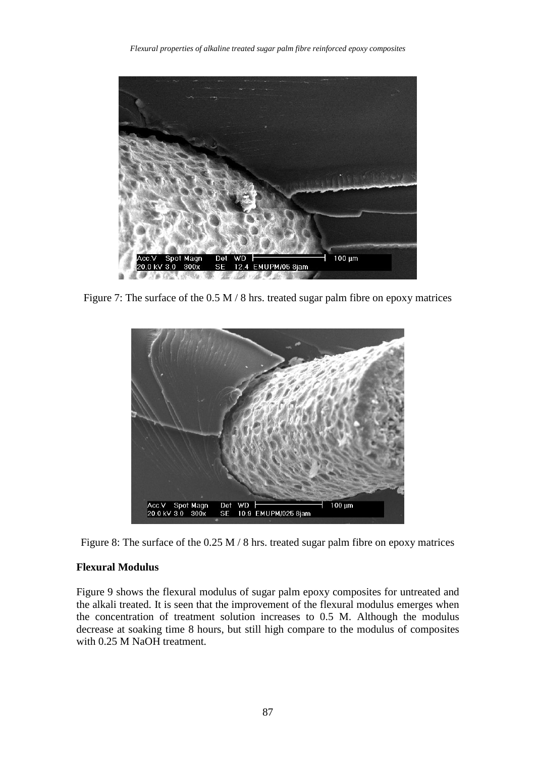

Figure 7: The surface of the 0.5 M / 8 hrs. treated sugar palm fibre on epoxy matrices



Figure 8: The surface of the 0.25 M / 8 hrs. treated sugar palm fibre on epoxy matrices

# **Flexural Modulus**

Figure 9 shows the flexural modulus of sugar palm epoxy composites for untreated and the alkali treated. It is seen that the improvement of the flexural modulus emerges when the concentration of treatment solution increases to 0.5 M. Although the modulus decrease at soaking time 8 hours, but still high compare to the modulus of composites with 0.25 M NaOH treatment.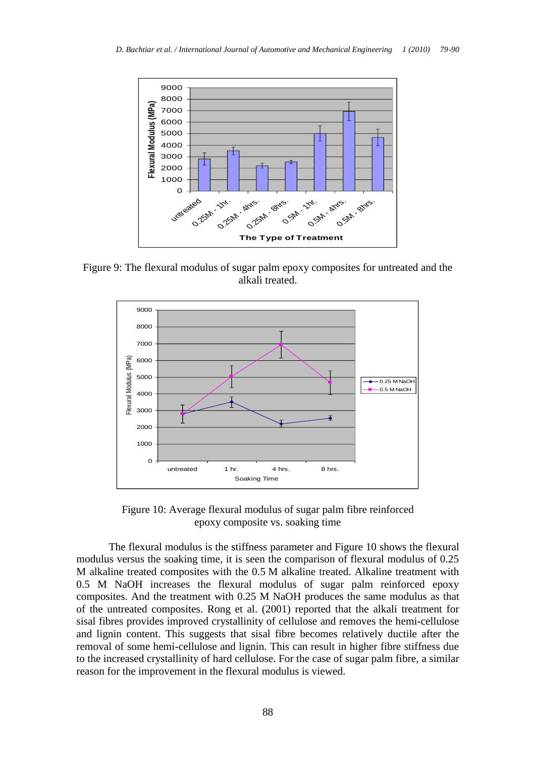

Figure 9: The flexural modulus of sugar palm epoxy composites for untreated and the alkali treated.



Figure 10: Average flexural modulus of sugar palm fibre reinforced epoxy composite vs. soaking time

The flexural modulus is the stiffness parameter and Figure 10 shows the flexural modulus versus the soaking time, it is seen the comparison of flexural modulus of 0.25 M alkaline treated composites with the 0.5 M alkaline treated. Alkaline treatment with 0.5 M NaOH increases the flexural modulus of sugar palm reinforced epoxy composites. And the treatment with 0.25 M NaOH produces the same modulus as that of the untreated composites. Rong et al. (2001) reported that the alkali treatment for sisal fibres provides improved crystallinity of cellulose and removes the hemi-cellulose and lignin content. This suggests that sisal fibre becomes relatively ductile after the removal of some hemi-cellulose and lignin. This can result in higher fibre stiffness due to the increased crystallinity of hard cellulose. For the case of sugar palm fibre, a similar reason for the improvement in the flexural modulus is viewed.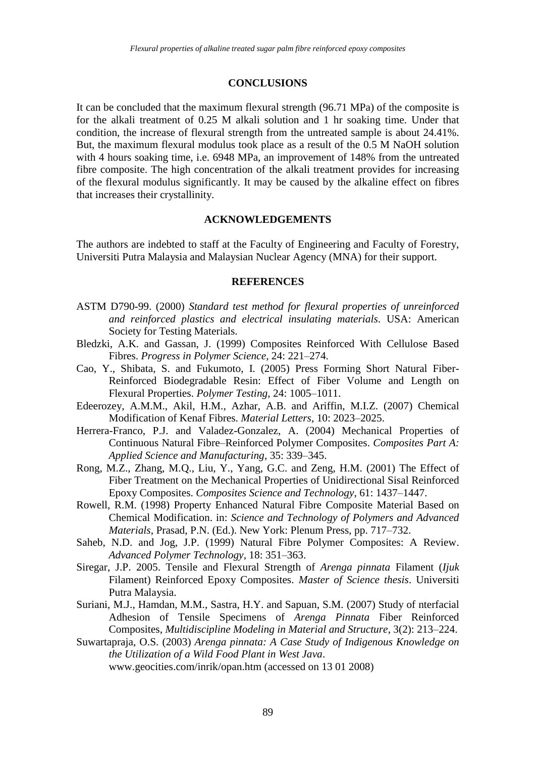#### **CONCLUSIONS**

It can be concluded that the maximum flexural strength (96.71 MPa) of the composite is for the alkali treatment of 0.25 M alkali solution and 1 hr soaking time. Under that condition, the increase of flexural strength from the untreated sample is about 24.41%. But, the maximum flexural modulus took place as a result of the 0.5 M NaOH solution with 4 hours soaking time, i.e. 6948 MPa, an improvement of 148% from the untreated fibre composite. The high concentration of the alkali treatment provides for increasing of the flexural modulus significantly. It may be caused by the alkaline effect on fibres that increases their crystallinity.

#### **ACKNOWLEDGEMENTS**

The authors are indebted to staff at the Faculty of Engineering and Faculty of Forestry, Universiti Putra Malaysia and Malaysian Nuclear Agency (MNA) for their support.

### **REFERENCES**

- ASTM D790-99. (2000) *Standard test method for flexural properties of unreinforced and reinforced plastics and electrical insulating materials.* USA: American Society for Testing Materials.
- Bledzki, A.K. and Gassan, J. (1999) Composites Reinforced With Cellulose Based Fibres. *Progress in Polymer Science*, 24: 221–274.
- Cao, Y., Shibata, S. and Fukumoto, I. (2005) Press Forming Short Natural Fiber-Reinforced Biodegradable Resin: Effect of Fiber Volume and Length on Flexural Properties. *Polymer Testing*, 24: 1005–1011.
- Edeerozey, A.M.M., Akil, H.M., Azhar, A.B. and Ariffin, M.I.Z. (2007) Chemical Modification of Kenaf Fibres. *Material Letters*, 10: 2023–2025.
- Herrera-Franco, P.J. and Valadez-Gonzalez, A. (2004) Mechanical Properties of Continuous Natural Fibre–Reinforced Polymer Composites. *Composites Part A: Applied Science and Manufacturing*, 35: 339–345.
- Rong, M.Z., Zhang, M.Q., Liu, Y., Yang, G.C. and Zeng, H.M. (2001) The Effect of Fiber Treatment on the Mechanical Properties of Unidirectional Sisal Reinforced Epoxy Composites. *Composites Science and Technology*, 61: 1437–1447.
- Rowell, R.M. (1998) Property Enhanced Natural Fibre Composite Material Based on Chemical Modification. in: *Science and Technology of Polymers and Advanced Materials*, Prasad, P.N. (Ed.). New York: Plenum Press, pp. 717–732.
- Saheb, N.D. and Jog, J.P. (1999) Natural Fibre Polymer Composites: A Review. *Advanced Polymer Technology*, 18: 351–363.
- Siregar, J.P. 2005. Tensile and Flexural Strength of *Arenga pinnata* Filament (*Ijuk* Filament) Reinforced Epoxy Composites. *Master of Science thesis*. Universiti Putra Malaysia.
- Suriani, M.J., Hamdan, M.M., Sastra, H.Y. and Sapuan, S.M. (2007) Study of nterfacial Adhesion of Tensile Specimens of *Arenga Pinnata* Fiber Reinforced Composites, *Multidiscipline Modeling in Material and Structure*, 3(2): 213–224.
- Suwartapraja, O.S. (2003) *Arenga pinnata: A Case Study of Indigenous Knowledge on the Utilization of a Wild Food Plant in West Java*. www.geocities.com/inrik/opan.htm (accessed on 13 01 2008)